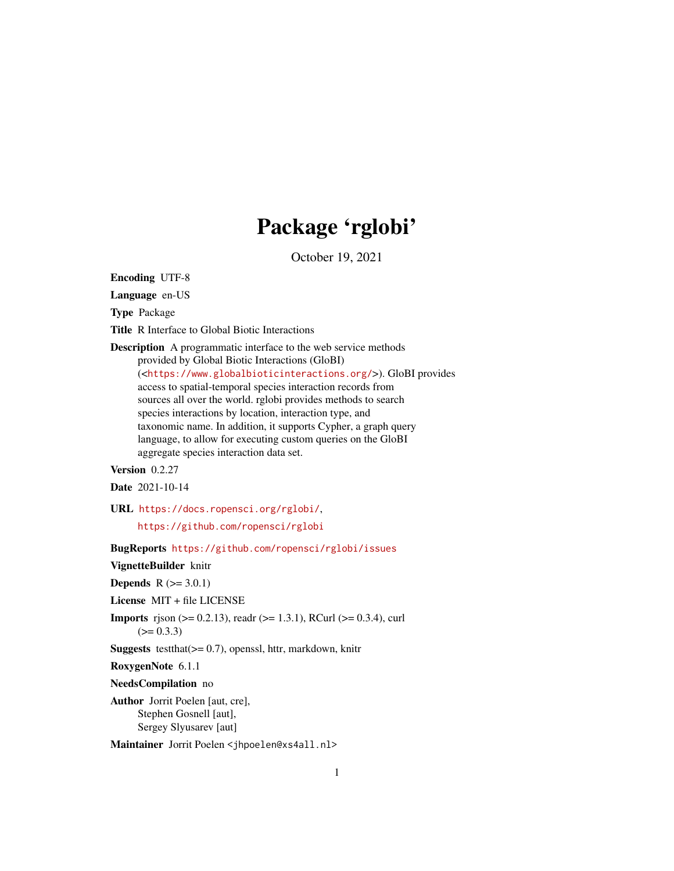# Package 'rglobi'

October 19, 2021

Encoding UTF-8

Language en-US

Type Package

Title R Interface to Global Biotic Interactions

Description A programmatic interface to the web service methods provided by Global Biotic Interactions (GloBI) (<<https://www.globalbioticinteractions.org/>>). GloBI provides access to spatial-temporal species interaction records from sources all over the world. rglobi provides methods to search species interactions by location, interaction type, and taxonomic name. In addition, it supports Cypher, a graph query language, to allow for executing custom queries on the GloBI aggregate species interaction data set.

Version 0.2.27

Date 2021-10-14

URL <https://docs.ropensci.org/rglobi/>,

<https://github.com/ropensci/rglobi>

BugReports <https://github.com/ropensci/rglobi/issues>

VignetteBuilder knitr

**Depends**  $R (= 3.0.1)$ 

License MIT + file LICENSE

**Imports** rison ( $> = 0.2.13$ ), readr ( $> = 1.3.1$ ), RCurl ( $> = 0.3.4$ ), curl  $(>= 0.3.3)$ 

**Suggests** testthat $(>= 0.7)$ , openssl, httr, markdown, knitr

RoxygenNote 6.1.1

NeedsCompilation no

Author Jorrit Poelen [aut, cre], Stephen Gosnell [aut], Sergey Slyusarev [aut]

Maintainer Jorrit Poelen <jhpoelen@xs4all.nl>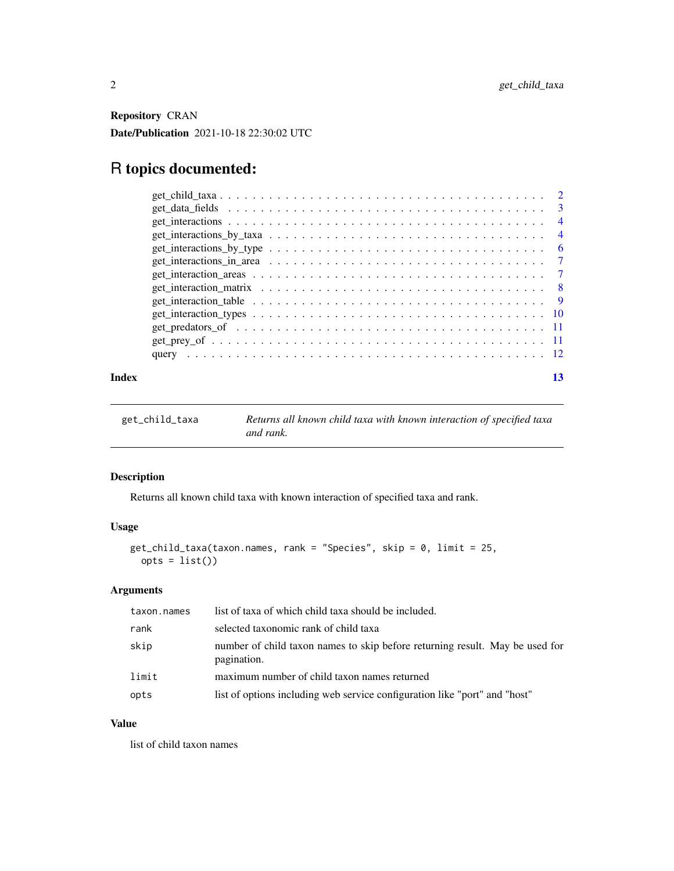<span id="page-1-0"></span>Repository CRAN Date/Publication 2021-10-18 22:30:02 UTC

# R topics documented:

| $get_data_{\text{fields}} \dots \dots \dots \dots \dots \dots \dots \dots \dots \dots \dots \dots \dots \dots \dots$ |                | $\mathcal{R}$  |
|----------------------------------------------------------------------------------------------------------------------|----------------|----------------|
|                                                                                                                      |                | $\overline{4}$ |
|                                                                                                                      |                | $\overline{4}$ |
| $get\_interactions_by_type \dots \dots \dots \dots \dots \dots \dots \dots \dots \dots \dots \dots \dots \dots$      |                | -6             |
| $get_$ interactions $_in_$ area $\ldots \ldots \ldots \ldots \ldots \ldots \ldots \ldots \ldots \ldots \ldots$       |                |                |
|                                                                                                                      | $\overline{7}$ |                |
|                                                                                                                      | - 8            |                |
|                                                                                                                      |                |                |
|                                                                                                                      |                |                |
|                                                                                                                      |                |                |
|                                                                                                                      |                |                |
|                                                                                                                      |                |                |
|                                                                                                                      |                |                |

#### **Index** [13](#page-12-0)

<span id="page-1-1"></span>

| get_child_taxa | Returns all known child taxa with known interaction of specified taxa |
|----------------|-----------------------------------------------------------------------|
|                | and rank.                                                             |

# Description

Returns all known child taxa with known interaction of specified taxa and rank.

# Usage

```
get_child_taxa(taxon.names, rank = "Species", skip = 0, limit = 25,
 opts = list()
```
# Arguments

| taxon.names | list of taxa of which child taxa should be included.                                        |
|-------------|---------------------------------------------------------------------------------------------|
| rank        | selected taxonomic rank of child taxa                                                       |
| skip        | number of child taxon names to skip before returning result. May be used for<br>pagination. |
| limit       | maximum number of child taxon names returned                                                |
| opts        | list of options including web service configuration like "port" and "host"                  |

# Value

list of child taxon names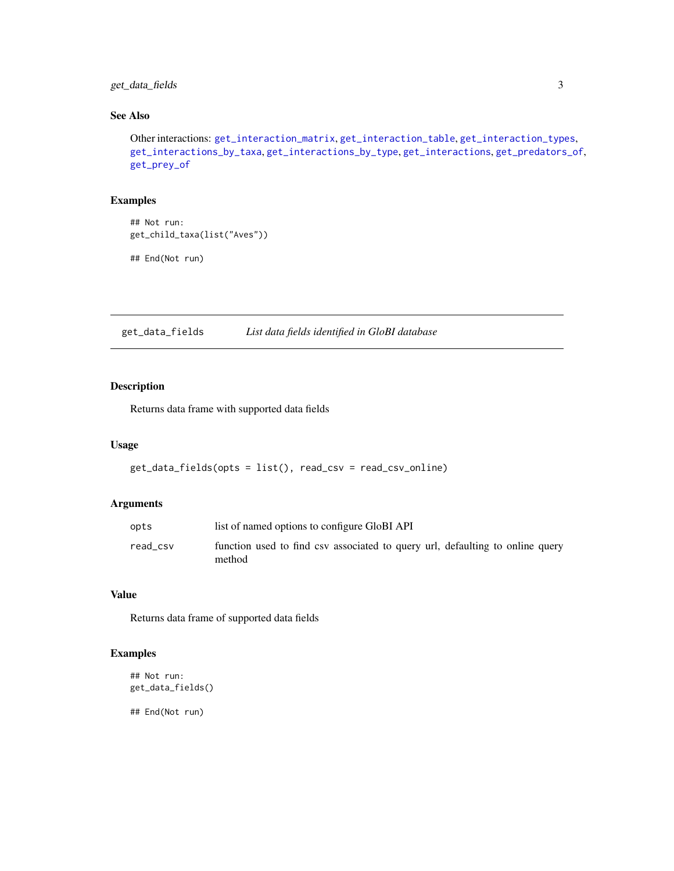# <span id="page-2-0"></span>get\_data\_fields 3

# See Also

Other interactions: [get\\_interaction\\_matrix](#page-7-1), [get\\_interaction\\_table](#page-8-1), [get\\_interaction\\_types](#page-9-1), [get\\_interactions\\_by\\_taxa](#page-3-1), [get\\_interactions\\_by\\_type](#page-5-1), [get\\_interactions](#page-3-2), [get\\_predators\\_of](#page-10-1), [get\\_prey\\_of](#page-10-2)

# Examples

## Not run: get\_child\_taxa(list("Aves"))

## End(Not run)

get\_data\_fields *List data fields identified in GloBI database*

# Description

Returns data frame with supported data fields

# Usage

```
get_data_fields(opts = list(), read_csv = read_csv_online)
```
#### Arguments

| opts     | list of named options to configure GloBI API                                            |
|----------|-----------------------------------------------------------------------------------------|
| read csv | function used to find csv associated to query url, defaulting to online query<br>method |

#### Value

Returns data frame of supported data fields

# Examples

```
## Not run:
get_data_fields()
```
## End(Not run)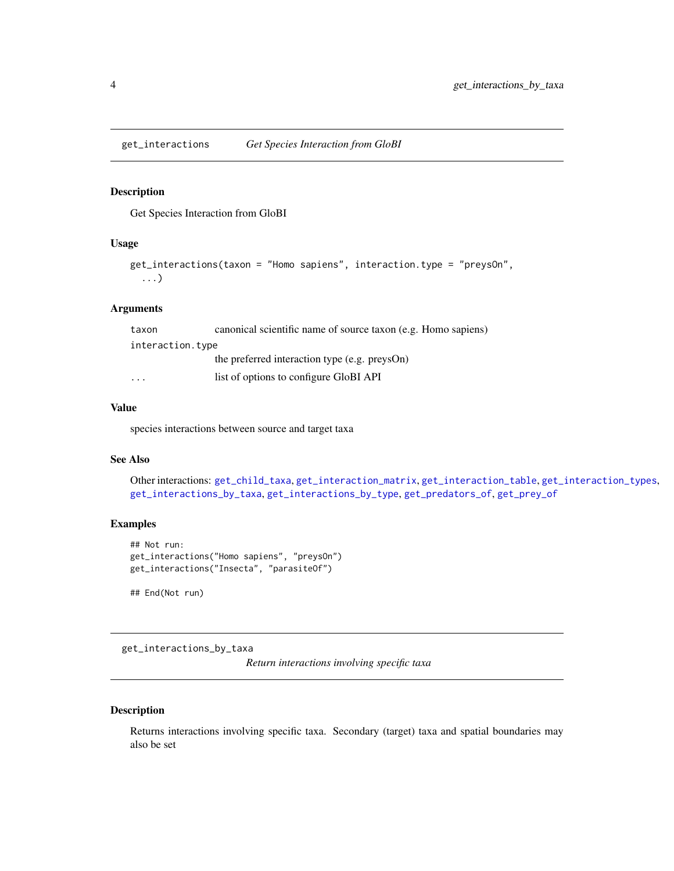<span id="page-3-2"></span><span id="page-3-0"></span>get\_interactions *Get Species Interaction from GloBI*

#### Description

Get Species Interaction from GloBI

#### Usage

```
get_interactions(taxon = "Homo sapiens", interaction.type = "preysOn",
  ...)
```
# Arguments

| taxon            | canonical scientific name of source taxon (e.g. Homo sapiens) |
|------------------|---------------------------------------------------------------|
| interaction.type |                                                               |
|                  | the preferred interaction type (e.g. preysOn)                 |
| $\cdot$          | list of options to configure GloBI API                        |

# Value

species interactions between source and target taxa

# See Also

Other interactions: [get\\_child\\_taxa](#page-1-1), [get\\_interaction\\_matrix](#page-7-1), [get\\_interaction\\_table](#page-8-1), [get\\_interaction\\_types](#page-9-1), [get\\_interactions\\_by\\_taxa](#page-3-1), [get\\_interactions\\_by\\_type](#page-5-1), [get\\_predators\\_of](#page-10-1), [get\\_prey\\_of](#page-10-2)

# Examples

```
## Not run:
get_interactions("Homo sapiens", "preysOn")
get_interactions("Insecta", "parasiteOf")
```
## End(Not run)

<span id="page-3-1"></span>get\_interactions\_by\_taxa

*Return interactions involving specific taxa*

#### Description

Returns interactions involving specific taxa. Secondary (target) taxa and spatial boundaries may also be set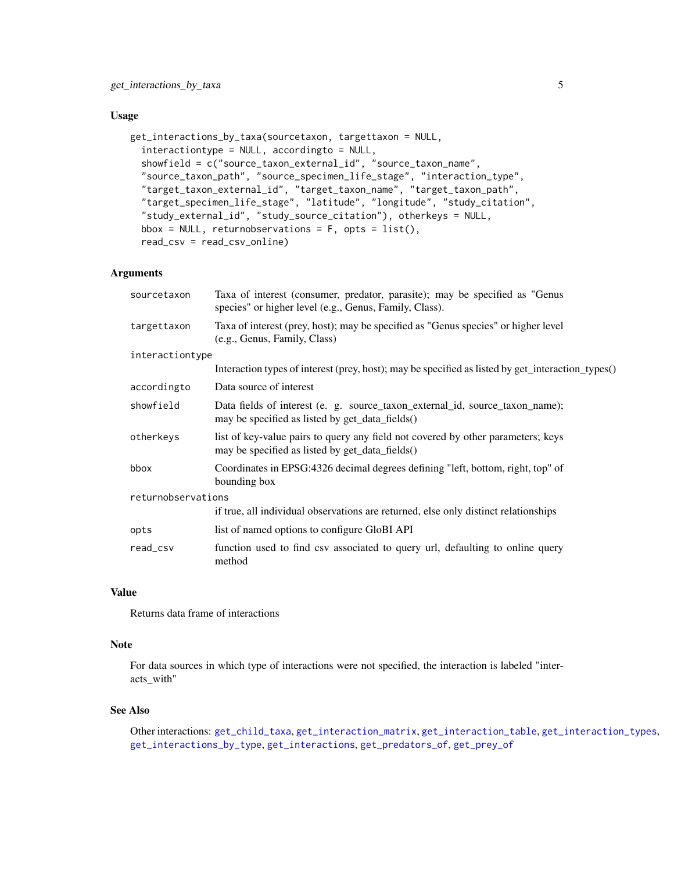#### <span id="page-4-0"></span>Usage

```
get_interactions_by_taxa(sourcetaxon, targettaxon = NULL,
  interactiontype = NULL, accordingto = NULL,
  showfield = c("source_taxon_external_id", "source_taxon_name",
  "source_taxon_path", "source_specimen_life_stage", "interaction_type",
  "target_taxon_external_id", "target_taxon_name", "target_taxon_path",
  "target_specimen_life_stage", "latitude", "longitude", "study_citation",
  "study_external_id", "study_source_citation"), otherkeys = NULL,
  bbox = NULL, returnobservations = F, opts = list(),
  read_csv = read_csv_online)
```
# **Arguments**

| sourcetaxon        | Taxa of interest (consumer, predator, parasite); may be specified as "Genus"<br>species" or higher level (e.g., Genus, Family, Class). |  |
|--------------------|----------------------------------------------------------------------------------------------------------------------------------------|--|
| targettaxon        | Taxa of interest (prey, host); may be specified as "Genus species" or higher level<br>(e.g., Genus, Family, Class)                     |  |
| interactiontype    |                                                                                                                                        |  |
|                    | Interaction types of interest (prey, host); may be specified as listed by get_interaction_types()                                      |  |
| accordingto        | Data source of interest                                                                                                                |  |
| showfield          | Data fields of interest (e. g. source_taxon_external_id, source_taxon_name);<br>may be specified as listed by get_data_fields()        |  |
| otherkeys          | list of key-value pairs to query any field not covered by other parameters; keys<br>may be specified as listed by get_data_fields()    |  |
| bbox               | Coordinates in EPSG:4326 decimal degrees defining "left, bottom, right, top" of<br>bounding box                                        |  |
| returnobservations |                                                                                                                                        |  |
|                    | if true, all individual observations are returned, else only distinct relationships                                                    |  |
| opts               | list of named options to configure GloBI API                                                                                           |  |
| read_csv           | function used to find csv associated to query url, defaulting to online query<br>method                                                |  |

#### Value

Returns data frame of interactions

#### Note

For data sources in which type of interactions were not specified, the interaction is labeled "interacts\_with"

#### See Also

Other interactions: [get\\_child\\_taxa](#page-1-1), [get\\_interaction\\_matrix](#page-7-1), [get\\_interaction\\_table](#page-8-1), [get\\_interaction\\_types](#page-9-1), [get\\_interactions\\_by\\_type](#page-5-1), [get\\_interactions](#page-3-2), [get\\_predators\\_of](#page-10-1), [get\\_prey\\_of](#page-10-2)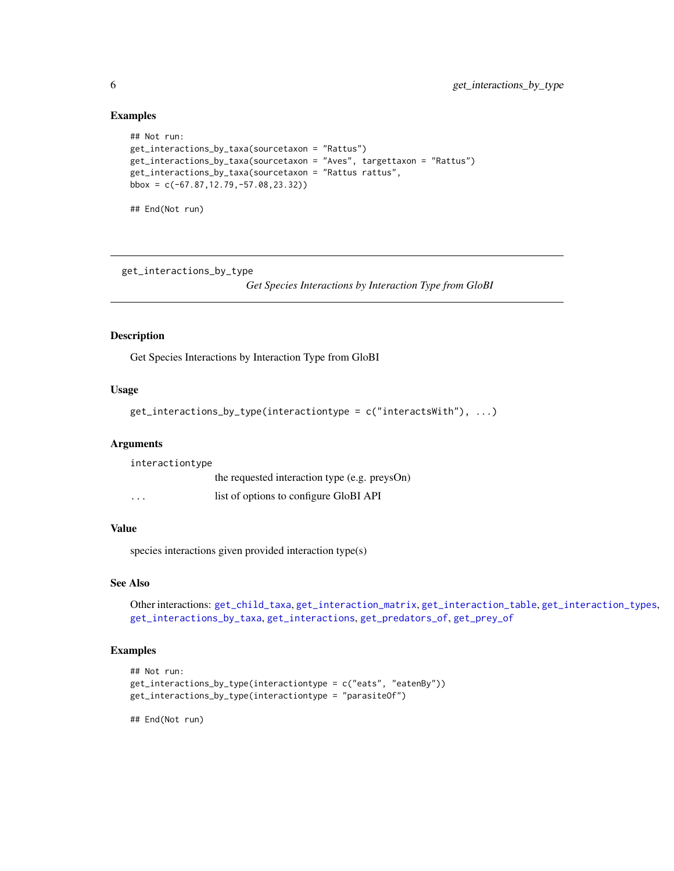#### Examples

```
## Not run:
get_interactions_by_taxa(sourcetaxon = "Rattus")
get_interactions_by_taxa(sourcetaxon = "Aves", targettaxon = "Rattus")
get_interactions_by_taxa(sourcetaxon = "Rattus rattus",
bbox = c(-67.87, 12.79, -57.08, 23.32)
```
## End(Not run)

<span id="page-5-1"></span>get\_interactions\_by\_type

*Get Species Interactions by Interaction Type from GloBI*

# Description

Get Species Interactions by Interaction Type from GloBI

#### Usage

```
get_interactions_by_type(interactiontype = c("interactsWith"), ...)
```
#### Arguments

interactiontype the requested interaction type (e.g. preysOn) ... list of options to configure GloBI API

#### Value

species interactions given provided interaction type(s)

#### See Also

Other interactions: [get\\_child\\_taxa](#page-1-1), [get\\_interaction\\_matrix](#page-7-1), [get\\_interaction\\_table](#page-8-1), [get\\_interaction\\_types](#page-9-1), [get\\_interactions\\_by\\_taxa](#page-3-1), [get\\_interactions](#page-3-2), [get\\_predators\\_of](#page-10-1), [get\\_prey\\_of](#page-10-2)

# Examples

```
## Not run:
get_interactions_by_type(interactiontype = c("eats", "eatenBy"))
get_interactions_by_type(interactiontype = "parasiteOf")
```
## End(Not run)

<span id="page-5-0"></span>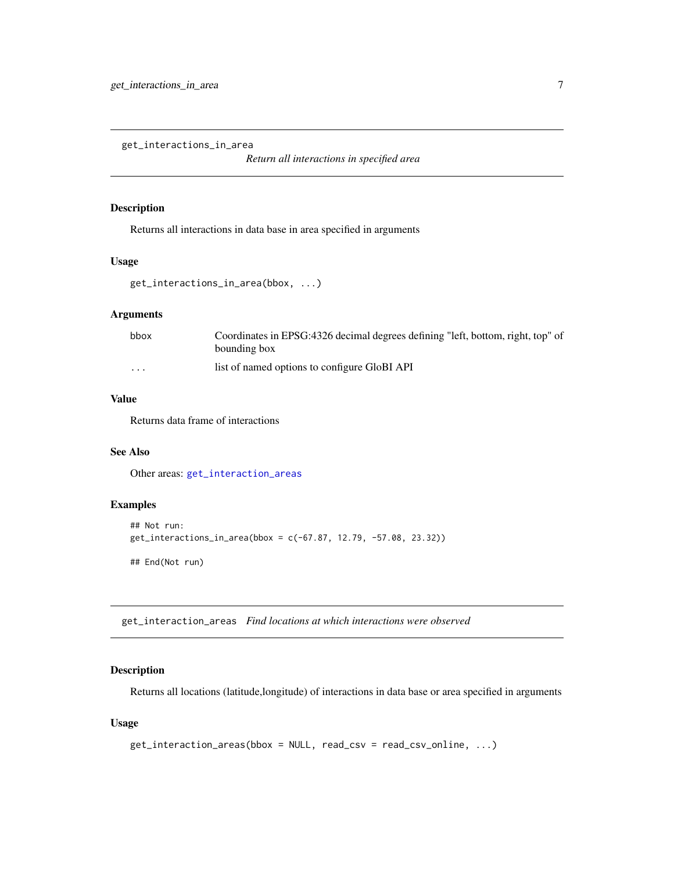<span id="page-6-2"></span><span id="page-6-0"></span>get\_interactions\_in\_area

*Return all interactions in specified area*

#### Description

Returns all interactions in data base in area specified in arguments

# Usage

```
get_interactions_in_area(bbox, ...)
```
# Arguments

| bbox    | Coordinates in EPSG:4326 decimal degrees defining "left, bottom, right, top" of |
|---------|---------------------------------------------------------------------------------|
|         | bounding box                                                                    |
| $\cdot$ | list of named options to configure GloBI API                                    |

# Value

Returns data frame of interactions

# See Also

Other areas: [get\\_interaction\\_areas](#page-6-1)

# Examples

```
## Not run:
get_interactions_in_area(bbox = c(-67.87, 12.79, -57.08, 23.32))
## End(Not run)
```
<span id="page-6-1"></span>get\_interaction\_areas *Find locations at which interactions were observed*

# Description

Returns all locations (latitude,longitude) of interactions in data base or area specified in arguments

#### Usage

```
get_interaction_areas(bbox = NULL, read_csv = read_csv_online, ...)
```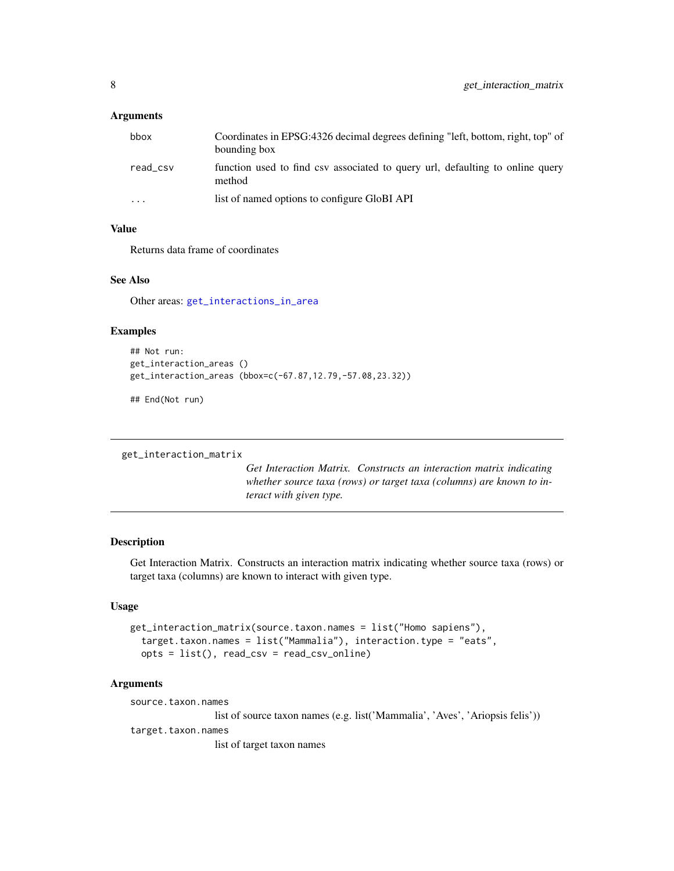#### <span id="page-7-0"></span>**Arguments**

| bbox      | Coordinates in EPSG:4326 decimal degrees defining "left, bottom, right, top" of<br>bounding box |
|-----------|-------------------------------------------------------------------------------------------------|
| read_csv  | function used to find csy associated to query url, defaulting to online query<br>method         |
| $\ddotsc$ | list of named options to configure GloBI API                                                    |

# Value

Returns data frame of coordinates

#### See Also

Other areas: [get\\_interactions\\_in\\_area](#page-6-2)

#### Examples

```
## Not run:
get_interaction_areas ()
get_interaction_areas (bbox=c(-67.87,12.79,-57.08,23.32))
```
## End(Not run)

```
get_interaction_matrix
```
*Get Interaction Matrix. Constructs an interaction matrix indicating whether source taxa (rows) or target taxa (columns) are known to interact with given type.*

#### Description

Get Interaction Matrix. Constructs an interaction matrix indicating whether source taxa (rows) or target taxa (columns) are known to interact with given type.

#### Usage

```
get_interaction_matrix(source.taxon.names = list("Homo sapiens"),
  target.taxon.names = list("Mammalia"), interaction.type = "eats",
 opts = list(), read_csv = read_csv_online)
```
# Arguments

source.taxon.names

list of source taxon names (e.g. list('Mammalia', 'Aves', 'Ariopsis felis'))

target.taxon.names

list of target taxon names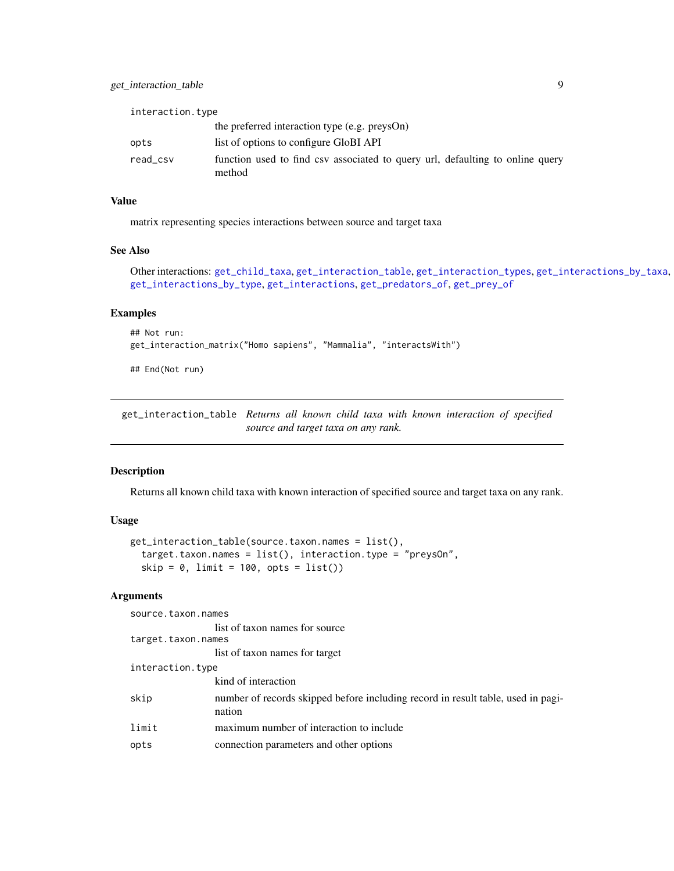<span id="page-8-0"></span>

| interaction.type |                                                                                         |
|------------------|-----------------------------------------------------------------------------------------|
|                  | the preferred interaction type (e.g. preysOn)                                           |
| opts             | list of options to configure GloBI API                                                  |
| read_csv         | function used to find csv associated to query url, defaulting to online query<br>method |

# Value

matrix representing species interactions between source and target taxa

# See Also

```
Other interactions: get_child_taxa, get_interaction_table, get_interaction_types, get_interactions_by_taxa,
get_interactions_by_type, get_interactions, get_predators_of, get_prey_of
```
#### Examples

```
## Not run:
get_interaction_matrix("Homo sapiens", "Mammalia", "interactsWith")
```
## End(Not run)

<span id="page-8-1"></span>get\_interaction\_table *Returns all known child taxa with known interaction of specified source and target taxa on any rank.*

# Description

Returns all known child taxa with known interaction of specified source and target taxa on any rank.

# Usage

```
get_interaction_table(source.taxon.names = list(),
  target.taxon.names = list(), interaction.type = "preysOn",
  skip = 0, limit = 100, opts = list()
```
#### Arguments

| source.taxon.names |                                                                                            |  |
|--------------------|--------------------------------------------------------------------------------------------|--|
|                    | list of taxon names for source                                                             |  |
| target.taxon.names |                                                                                            |  |
|                    | list of taxon names for target                                                             |  |
| interaction.type   |                                                                                            |  |
|                    | kind of interaction                                                                        |  |
| skip               | number of records skipped before including record in result table, used in pagi-<br>nation |  |
| limit              | maximum number of interaction to include                                                   |  |
| opts               | connection parameters and other options                                                    |  |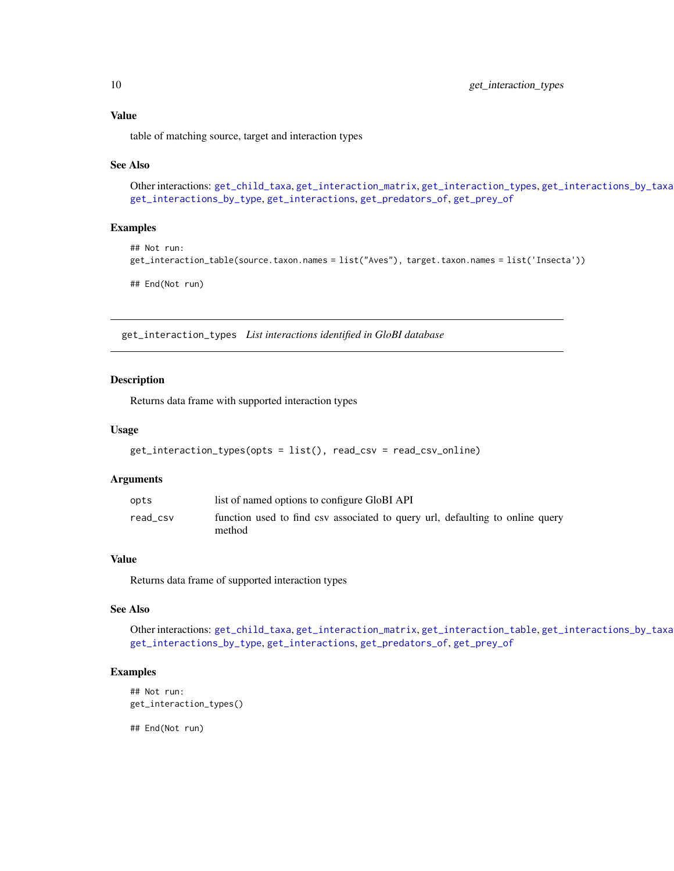<span id="page-9-0"></span>table of matching source, target and interaction types

#### See Also

```
Other interactions: get_child_taxa, get_interaction_matrix, get_interaction_types, get_interactions_by_taxa,
get_interactions_by_type, get_interactions, get_predators_of, get_prey_of
```
#### Examples

```
## Not run:
get_interaction_table(source.taxon.names = list("Aves"), target.taxon.names = list('Insecta'))
```
## End(Not run)

<span id="page-9-1"></span>get\_interaction\_types *List interactions identified in GloBI database*

#### Description

Returns data frame with supported interaction types

#### Usage

```
get_interaction_types(opts = list(), read_csv = read_csv_online)
```
#### Arguments

| opts     | list of named options to configure GloBI API                                            |
|----------|-----------------------------------------------------------------------------------------|
| read csv | function used to find csv associated to query url, defaulting to online query<br>method |

#### Value

Returns data frame of supported interaction types

#### See Also

Other interactions: [get\\_child\\_taxa](#page-1-1), [get\\_interaction\\_matrix](#page-7-1), [get\\_interaction\\_table](#page-8-1), [get\\_interactions\\_by\\_taxa](#page-3-1), [get\\_interactions\\_by\\_type](#page-5-1), [get\\_interactions](#page-3-2), [get\\_predators\\_of](#page-10-1), [get\\_prey\\_of](#page-10-2)

#### Examples

```
## Not run:
get_interaction_types()
```
## End(Not run)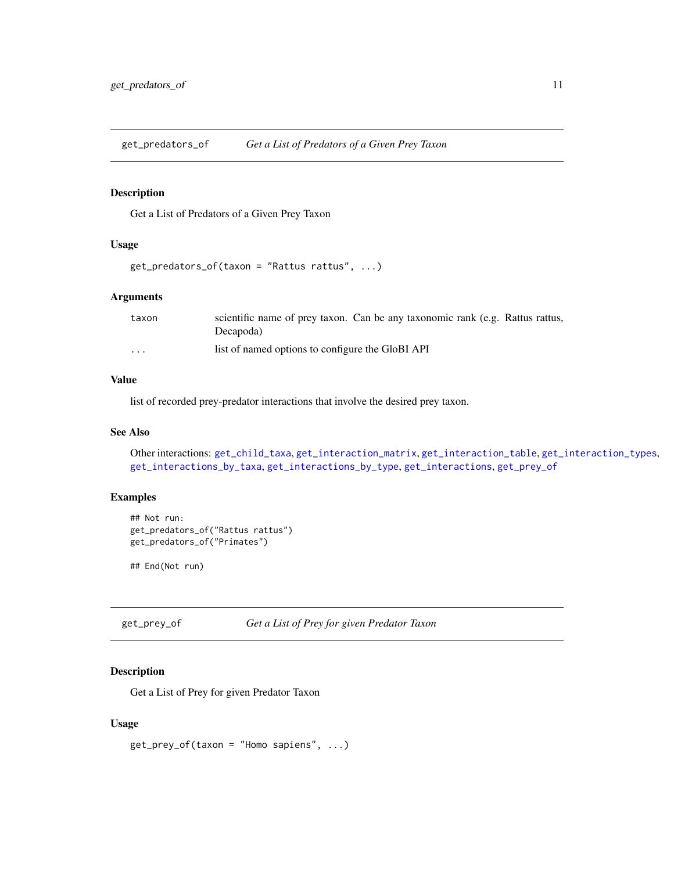<span id="page-10-1"></span><span id="page-10-0"></span>get\_predators\_of *Get a List of Predators of a Given Prey Taxon*

# Description

Get a List of Predators of a Given Prey Taxon

#### Usage

```
get_predators_of(taxon = "Rattus rattus", ...)
```
# Arguments

| taxon    | scientific name of prey taxon. Can be any taxonomic rank (e.g. Rattus rattus,<br>Decapoda) |
|----------|--------------------------------------------------------------------------------------------|
| $\cdots$ | list of named options to configure the GloBI API                                           |

#### Value

list of recorded prey-predator interactions that involve the desired prey taxon.

#### See Also

Other interactions: [get\\_child\\_taxa](#page-1-1), [get\\_interaction\\_matrix](#page-7-1), [get\\_interaction\\_table](#page-8-1), [get\\_interaction\\_types](#page-9-1), [get\\_interactions\\_by\\_taxa](#page-3-1), [get\\_interactions\\_by\\_type](#page-5-1), [get\\_interactions](#page-3-2), [get\\_prey\\_of](#page-10-2)

# Examples

```
## Not run:
get_predators_of("Rattus rattus")
get_predators_of("Primates")
```
## End(Not run)

<span id="page-10-2"></span>get\_prey\_of *Get a List of Prey for given Predator Taxon*

# Description

Get a List of Prey for given Predator Taxon

#### Usage

 $get\_prey_of(taxon = "Homeo sapiens", ...)$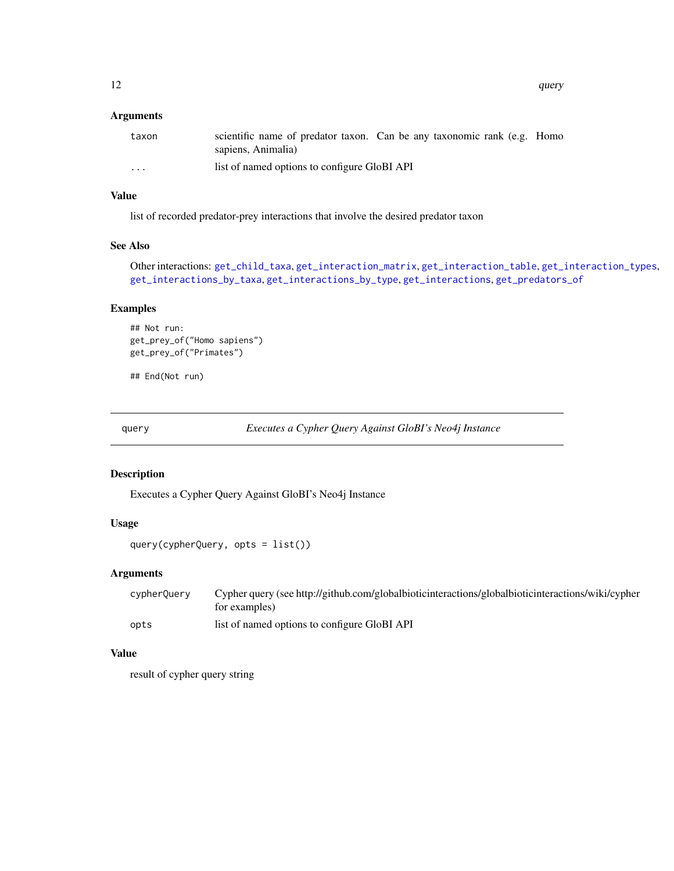# <span id="page-11-0"></span>Arguments

| taxon    | scientific name of predator taxon. Can be any taxonomic rank (e.g. Homo<br>sapiens, Animalia) |
|----------|-----------------------------------------------------------------------------------------------|
| $\cdots$ | list of named options to configure GloBI API                                                  |

# Value

list of recorded predator-prey interactions that involve the desired predator taxon

#### See Also

Other interactions: [get\\_child\\_taxa](#page-1-1), [get\\_interaction\\_matrix](#page-7-1), [get\\_interaction\\_table](#page-8-1), [get\\_interaction\\_types](#page-9-1), [get\\_interactions\\_by\\_taxa](#page-3-1), [get\\_interactions\\_by\\_type](#page-5-1), [get\\_interactions](#page-3-2), [get\\_predators\\_of](#page-10-1)

# Examples

```
## Not run:
get_prey_of("Homo sapiens")
get_prey_of("Primates")
```
## End(Not run)

query *Executes a Cypher Query Against GloBI's Neo4j Instance*

#### Description

Executes a Cypher Query Against GloBI's Neo4j Instance

# Usage

query(cypherQuery, opts = list())

# Arguments

| cypherQuery | Cypher query (see http://github.com/globalbioticinteractions/globalbioticinteractions/wiki/cypher<br>for examples) |
|-------------|--------------------------------------------------------------------------------------------------------------------|
| opts        | list of named options to configure GloBI API                                                                       |

#### Value

result of cypher query string